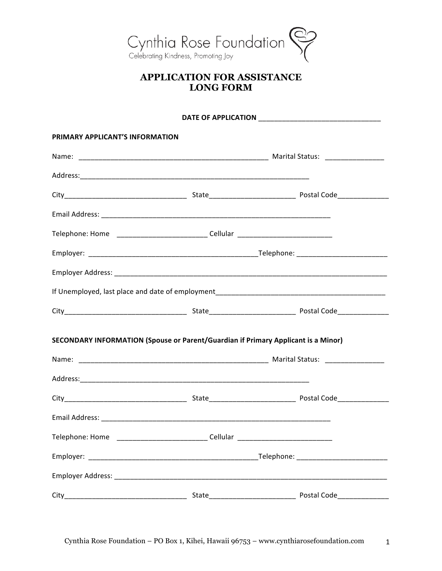

## **APPLICATION FOR ASSISTANCE LONG FORM**

| PRIMARY APPLICANT'S INFORMATION |                                                                                   |                            |  |  |
|---------------------------------|-----------------------------------------------------------------------------------|----------------------------|--|--|
|                                 |                                                                                   |                            |  |  |
|                                 |                                                                                   |                            |  |  |
|                                 |                                                                                   |                            |  |  |
|                                 |                                                                                   |                            |  |  |
|                                 | Telephone: Home _____________________________Cellular __________________________  |                            |  |  |
|                                 |                                                                                   |                            |  |  |
|                                 |                                                                                   |                            |  |  |
|                                 |                                                                                   |                            |  |  |
|                                 |                                                                                   |                            |  |  |
|                                 | SECONDARY INFORMATION (Spouse or Parent/Guardian if Primary Applicant is a Minor) |                            |  |  |
|                                 |                                                                                   |                            |  |  |
|                                 |                                                                                   |                            |  |  |
|                                 |                                                                                   |                            |  |  |
|                                 |                                                                                   |                            |  |  |
|                                 | Telephone: Home ______________________________Cellular _________________________  |                            |  |  |
|                                 |                                                                                   |                            |  |  |
|                                 |                                                                                   |                            |  |  |
|                                 |                                                                                   | Postal Code_______________ |  |  |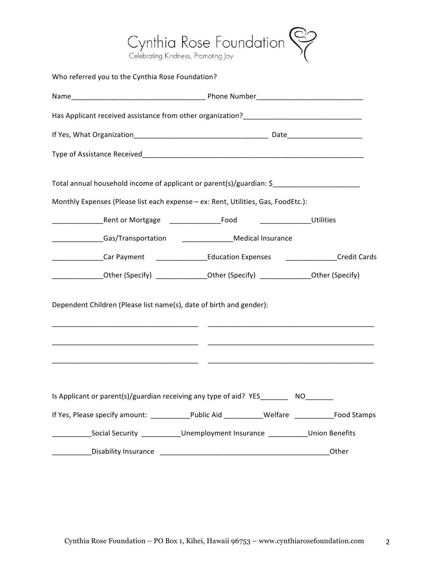

| Who referred you to the Cynthia Rose Foundation?                                                     |                                                                                |       |
|------------------------------------------------------------------------------------------------------|--------------------------------------------------------------------------------|-------|
|                                                                                                      |                                                                                |       |
|                                                                                                      |                                                                                |       |
|                                                                                                      |                                                                                |       |
|                                                                                                      |                                                                                |       |
| Total annual household income of applicant or parent(s)/guardian: \$________________________________ |                                                                                |       |
| Monthly Expenses (Please list each expense - ex: Rent, Utilities, Gas, FoodEtc.):                    |                                                                                |       |
|                                                                                                      | ________________________Utilities                                              |       |
|                                                                                                      |                                                                                |       |
| _______________Car Payment   _________________Education Expenses   _______________Credit Cards       |                                                                                |       |
| _____________Other (Specify) _______________Other (Specify) ______________Other (Specify)            |                                                                                |       |
| Dependent Children (Please list name(s), date of birth and gender):                                  |                                                                                |       |
|                                                                                                      |                                                                                |       |
| Is Applicant or parent(s)/guardian receiving any type of aid? YES_________ NO_______                 |                                                                                |       |
| If Yes, Please specify amount: _____________Public Aid ____________Welfare ______________Food Stamps |                                                                                |       |
|                                                                                                      | Social Security _____________Unemployment Insurance ____________Union Benefits |       |
|                                                                                                      |                                                                                | Other |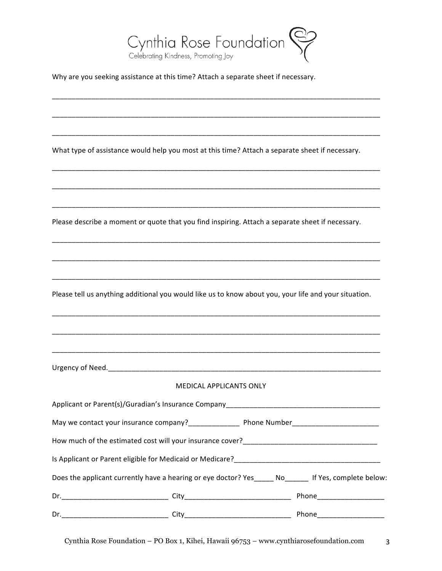

Why are you seeking assistance at this time? Attach a separate sheet if necessary.

| What type of assistance would help you most at this time? Attach a separate sheet if necessary.       |  |
|-------------------------------------------------------------------------------------------------------|--|
|                                                                                                       |  |
| Please describe a moment or quote that you find inspiring. Attach a separate sheet if necessary.      |  |
|                                                                                                       |  |
| Please tell us anything additional you would like us to know about you, your life and your situation. |  |
|                                                                                                       |  |
|                                                                                                       |  |
| MEDICAL APPLICANTS ONLY                                                                               |  |
| Applicant or Parent(s)/Guradian's Insurance Company_____________________________                      |  |
|                                                                                                       |  |
|                                                                                                       |  |
|                                                                                                       |  |
| Does the applicant currently have a hearing or eye doctor? Yes_____ No______ If Yes, complete below:  |  |
|                                                                                                       |  |
|                                                                                                       |  |